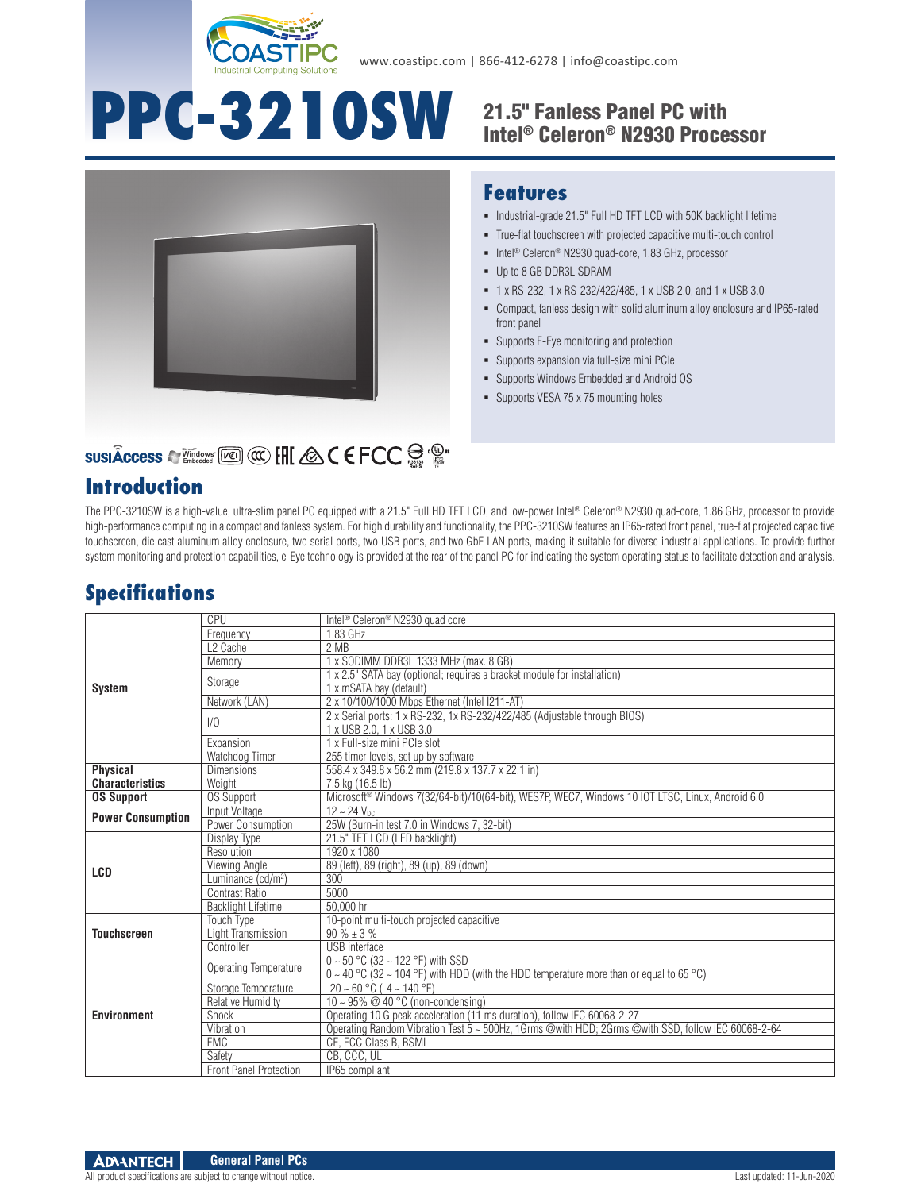

# PPC-3210SW 21.5" Fanless Panel PC with

# Intel® Celeron® N2930 Processor



#### **Features**

- $\blacksquare$  Industrial-grade 21.5" Full HD TFT LCD with 50K backlight lifetime
- True-flat touchscreen with projected capacitive multi-touch control
- Intel<sup>®</sup> Celeron<sup>®</sup> N2930 quad-core, 1.83 GHz, processor
- Up to 8 GB DDR3L SDRAM
- 1 x RS-232, 1 x RS-232/422/485, 1 x USB 2.0, and 1 x USB 3.0
- Compact, fanless design with solid aluminum alloy enclosure and IP65-rated front panel
- Supports E-Eye monitoring and protection
- Supports expansion via full-size mini PCIe
- Supports Windows Embedded and Android OS
- **Supports VESA 75 x 75 mounting holes**

# **SUSIÂCCESS A Vindows [KEER] CO. ENC. A C E FCC SOF CO.**

#### **Introduction**

The PPC-3210SW is a high-value, ultra-slim panel PC equipped with a 21.5" Full HD TFT LCD, and low-power Intel® Celeron® N2930 quad-core, 1.86 GHz, processor to provide high-performance computing in a compact and fanless system. For high durability and functionality, the PPC-3210SW features an IP65-rated front panel, true-flat projected capacitive touchscreen, die cast aluminum alloy enclosure, two serial ports, two USB ports, and two GbE LAN ports, making it suitable for diverse industrial applications. To provide further system monitoring and protection capabilities, e-Eye technology is provided at the rear of the panel PC for indicating the system operating status to facilitate detection and analysis.

# **Specifications**

|                          | CPU                            | Intel <sup>®</sup> Celeron <sup>®</sup> N2930 quad core                                            |
|--------------------------|--------------------------------|----------------------------------------------------------------------------------------------------|
| <b>System</b>            | Frequency                      | 1.83 GHz                                                                                           |
|                          | L <sub>2</sub> Cache           | 2 MB                                                                                               |
|                          | Memory                         | 1 x SODIMM DDR3L 1333 MHz (max. 8 GB)                                                              |
|                          | Storage                        | 1 x 2.5" SATA bay (optional; requires a bracket module for installation)                           |
|                          |                                | 1 x mSATA bay (default)                                                                            |
|                          | Network (LAN)                  | 2 x 10/100/1000 Mbps Ethernet (Intel I211-AT)                                                      |
|                          | 1/0                            | 2 x Serial ports: 1 x RS-232, 1x RS-232/422/485 (Adjustable through BIOS)                          |
|                          |                                | 1 x USB 2.0, 1 x USB 3.0                                                                           |
|                          | Expansion                      | 1 x Full-size mini PCIe slot                                                                       |
|                          | Watchdog Timer                 | 255 timer levels, set up by software                                                               |
| <b>Physical</b>          | <b>Dimensions</b>              | 558.4 x 349.8 x 56.2 mm (219.8 x 137.7 x 22.1 in)                                                  |
| <b>Characteristics</b>   | Weight                         | 7.5 kg (16.5 lb)                                                                                   |
| <b>OS Support</b>        | <b>OS Support</b>              | Microsoft® Windows 7(32/64-bit)/10(64-bit), WES7P, WEC7, Windows 10 IOT LTSC, Linux, Android 6.0   |
| <b>Power Consumption</b> | Input Voltage                  | $12 - 24$ $V_{DC}$                                                                                 |
|                          | Power Consumption              | 25W (Burn-in test 7.0 in Windows 7, 32-bit)                                                        |
|                          | Display Type                   | 21.5" TFT LCD (LED backlight)                                                                      |
| <b>LCD</b>               | Resolution                     | 1920 x 1080                                                                                        |
|                          | Viewing Angle                  | 89 (left), 89 (right), 89 (up), 89 (down)                                                          |
|                          | Luminance (cd/m <sup>2</sup> ) | 300                                                                                                |
|                          | Contrast Ratio                 | 5000                                                                                               |
|                          |                                |                                                                                                    |
|                          | <b>Backlight Lifetime</b>      | 50.000 hr                                                                                          |
| <b>Touchscreen</b>       | Touch Type                     | 10-point multi-touch projected capacitive                                                          |
|                          | <b>Light Transmission</b>      | $90\% \pm 3\%$                                                                                     |
|                          | Controller                     | <b>USB</b> interface                                                                               |
| <b>Environment</b>       | Operating Temperature          | $0 - 50$ °C (32 ~ 122 °F) with SSD                                                                 |
|                          |                                | $0 \sim 40$ °C (32 ~ 104 °F) with HDD (with the HDD temperature more than or equal to 65 °C)       |
|                          | Storage Temperature            | $-20 \sim 60$ °C ( $-4 \sim 140$ °F)                                                               |
|                          | Relative Humidity              | 10 ~ 95% @ 40 °C (non-condensing)                                                                  |
|                          | Shock                          | Operating 10 G peak acceleration (11 ms duration), follow IEC 60068-2-27                           |
|                          | Vibration                      | Operating Random Vibration Test 5 ~ 500Hz, 1Grms @with HDD; 2Grms @with SSD, follow IEC 60068-2-64 |
|                          | <b>EMC</b>                     | CE, FCC Class B, BSMI                                                                              |
|                          | Safety                         | CB, CCC, UL                                                                                        |
|                          | <b>Front Panel Protection</b>  | IP65 compliant                                                                                     |